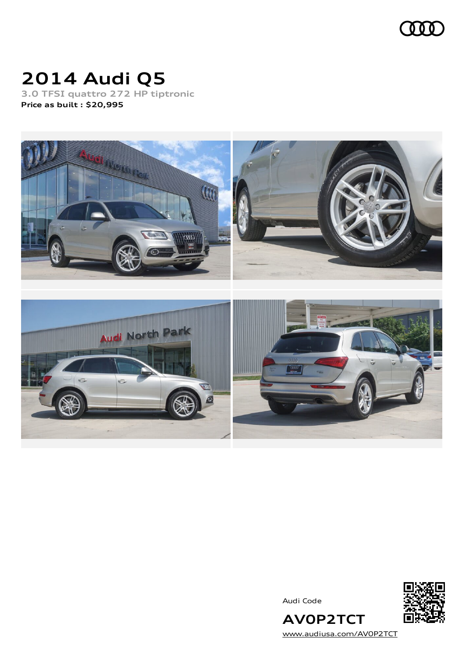

# **2014 Audi Q5**

**3.0 TFSI quattro 272 HP tiptronic Price as built [:](#page-10-0) \$20,995**



Audi Code



**AV0P2TCT** [www.audiusa.com/AV0P2TCT](https://www.audiusa.com/AV0P2TCT)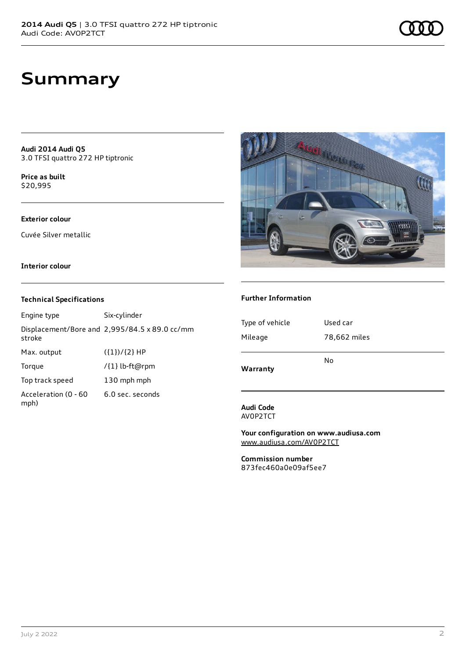**Audi 2014 Audi Q5** 3.0 TFSI quattro 272 HP tiptronic

**Price as buil[t](#page-10-0)** \$20,995

#### **Exterior colour**

Cuvée Silver metallic

#### **Interior colour**

#### **Technical Specifications**

| Engine type                  | Six-cylinder                                  |
|------------------------------|-----------------------------------------------|
| stroke                       | Displacement/Bore and 2,995/84.5 x 89.0 cc/mm |
| Max. output                  | $({1})/{2}$ HP                                |
| Torque                       | /{1} lb-ft@rpm                                |
| Top track speed              | 130 mph mph                                   |
| Acceleration (0 - 60<br>mph) | 6.0 sec. seconds                              |



#### **Further Information**

| Mileage  | 78,662 miles<br>No |
|----------|--------------------|
| Warranty |                    |

**Audi Code** AV0P2TCT

**Your configuration on www.audiusa.com** [www.audiusa.com/AV0P2TCT](https://www.audiusa.com/AV0P2TCT)

**Commission number** 873fec460a0e09af5ee7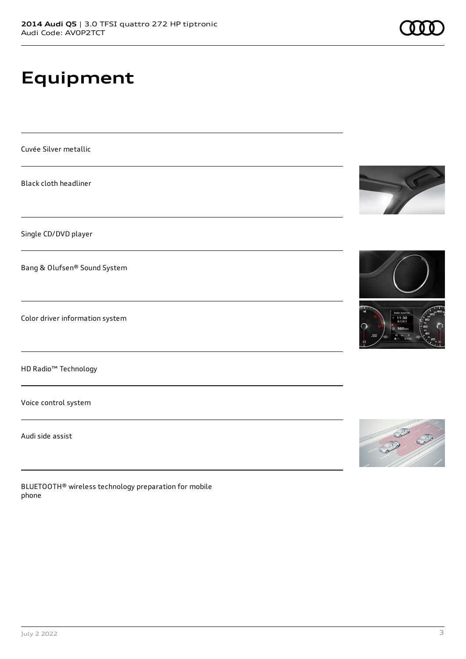# **Equipment**

Cuvée Silver metallic

Black cloth headliner

Single CD/DVD player

Bang & Olufsen® Sound System

Color driver information system

HD Radio™ Technology

Voice control system

Audi side assist

BLUETOOTH® wireless technology preparation for mobile phone







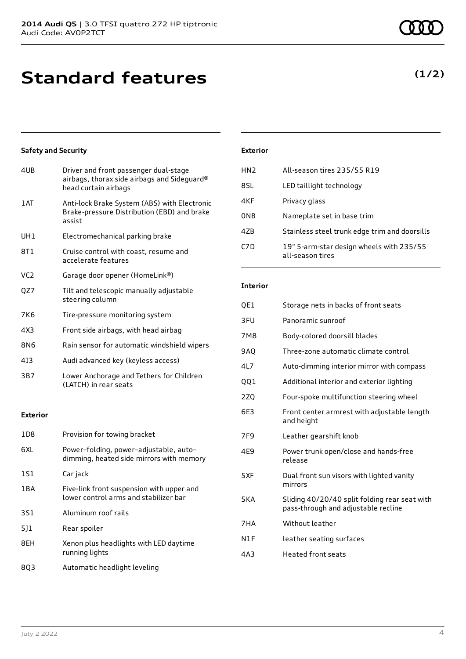## **Standard features**

### **Safety and Security**

| 4UB             | Driver and front passenger dual-stage<br>airbags, thorax side airbags and Sideguard®<br>head curtain airbags |
|-----------------|--------------------------------------------------------------------------------------------------------------|
| 1 AT            | Anti-lock Brake System (ABS) with Electronic<br>Brake-pressure Distribution (EBD) and brake<br>assist        |
| UH1             | Electromechanical parking brake                                                                              |
| 8T 1            | Cruise control with coast, resume and<br>accelerate features                                                 |
| VC <sub>2</sub> | Garage door opener (HomeLink®)                                                                               |
| QZ7             | Tilt and telescopic manually adjustable<br>steering column                                                   |
| 7K <sub>6</sub> | Tire-pressure monitoring system                                                                              |
| 4X3             | Front side airbags, with head airbag                                                                         |
| 8N6             | Rain sensor for automatic windshield wipers                                                                  |
| 413             | Audi advanced key (keyless access)                                                                           |
| 3B7             | Lower Anchorage and Tethers for Children<br>(LATCH) in rear seats                                            |
|                 |                                                                                                              |

#### **Exterior**

| 1 D 8 | Provision for towing bracket                                                       |
|-------|------------------------------------------------------------------------------------|
| 6XL   | Power-folding, power-adjustable, auto-<br>dimming, heated side mirrors with memory |
| 1S1   | Car jack                                                                           |
| 1 B A | Five-link front suspension with upper and<br>lower control arms and stabilizer bar |
| 3S1   | Aluminum roof rails                                                                |
| 5]1   | Rear spoiler                                                                       |
| 8EH   | Xenon plus headlights with LED daytime<br>running lights                           |
| 803   | Automatic headlight leveling                                                       |

### **Exterior**

| HN <sub>2</sub>  | All-season tires 235/55 R19                                  |
|------------------|--------------------------------------------------------------|
| 8SL              | LED taillight technology                                     |
| 4KF              | Privacy glass                                                |
| 0 <sub>NB</sub>  | Nameplate set in base trim                                   |
| 47B              | Stainless steel trunk edge trim and doorsills                |
| C <sub>7</sub> D | 19" 5-arm-star design wheels with 235/55<br>all-season tires |

#### **Interior**

| QE1        | Storage nets in backs of front seats                                                 |
|------------|--------------------------------------------------------------------------------------|
| 3FU        | Panoramic sunroof                                                                    |
| 7M8        | Body-colored doorsill blades                                                         |
| 9AQ        | Three-zone automatic climate control                                                 |
| 4L7        | Auto-dimming interior mirror with compass                                            |
| 001        | Additional interior and exterior lighting                                            |
| 2ZQ        | Four-spoke multifunction steering wheel                                              |
| 6E3        | Front center armrest with adjustable length<br>and height                            |
| 7F9        | Leather gearshift knob                                                               |
| 4E9        | Power trunk open/close and hands-free<br>release                                     |
| 5XF        | Dual front sun visors with lighted vanity<br>mirrors                                 |
| <b>5KA</b> | Sliding 40/20/40 split folding rear seat with<br>pass-through and adjustable recline |
| 7HA        | Without leather                                                                      |
| N1F        | leather seating surfaces                                                             |
| 4A3        | <b>Heated front seats</b>                                                            |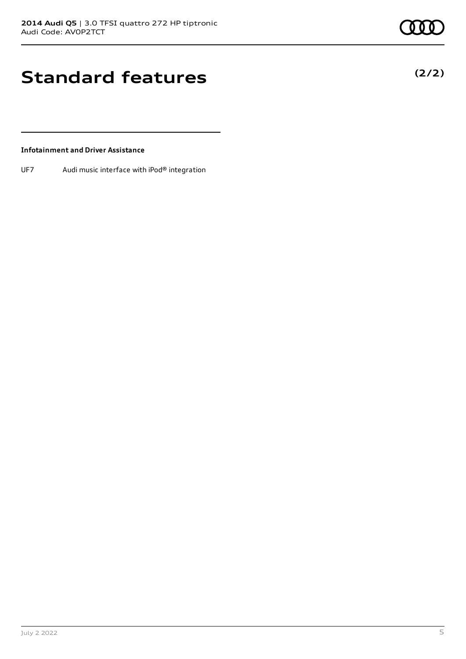**(2/2)**

### **Standard features**

#### **Infotainment and Driver Assistance**

UF7 Audi music interface with iPod® integration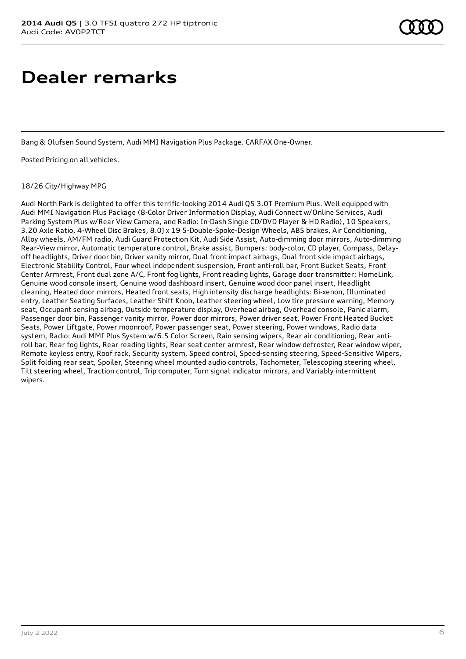### **Dealer remarks**

Bang & Olufsen Sound System, Audi MMI Navigation Plus Package. CARFAX One-Owner.

Posted Pricing on all vehicles.

#### 18/26 City/Highway MPG

Audi North Park is delighted to offer this terrific-looking 2014 Audi Q5 3.0T Premium Plus. Well equipped with Audi MMI Navigation Plus Package (8-Color Driver Information Display, Audi Connect w/Online Services, Audi Parking System Plus w/Rear View Camera, and Radio: In-Dash Single CD/DVD Player & HD Radio), 10 Speakers, 3.20 Axle Ratio, 4-Wheel Disc Brakes, 8.0J x 19 5-Double-Spoke-Design Wheels, ABS brakes, Air Conditioning, Alloy wheels, AM/FM radio, Audi Guard Protection Kit, Audi Side Assist, Auto-dimming door mirrors, Auto-dimming Rear-View mirror, Automatic temperature control, Brake assist, Bumpers: body-color, CD player, Compass, Delayoff headlights, Driver door bin, Driver vanity mirror, Dual front impact airbags, Dual front side impact airbags, Electronic Stability Control, Four wheel independent suspension, Front anti-roll bar, Front Bucket Seats, Front Center Armrest, Front dual zone A/C, Front fog lights, Front reading lights, Garage door transmitter: HomeLink, Genuine wood console insert, Genuine wood dashboard insert, Genuine wood door panel insert, Headlight cleaning, Heated door mirrors, Heated front seats, High intensity discharge headlights: Bi-xenon, Illuminated entry, Leather Seating Surfaces, Leather Shift Knob, Leather steering wheel, Low tire pressure warning, Memory seat, Occupant sensing airbag, Outside temperature display, Overhead airbag, Overhead console, Panic alarm, Passenger door bin, Passenger vanity mirror, Power door mirrors, Power driver seat, Power Front Heated Bucket Seats, Power Liftgate, Power moonroof, Power passenger seat, Power steering, Power windows, Radio data system, Radio: Audi MMI Plus System w/6.5 Color Screen, Rain sensing wipers, Rear air conditioning, Rear antiroll bar, Rear fog lights, Rear reading lights, Rear seat center armrest, Rear window defroster, Rear window wiper, Remote keyless entry, Roof rack, Security system, Speed control, Speed-sensing steering, Speed-Sensitive Wipers, Split folding rear seat, Spoiler, Steering wheel mounted audio controls, Tachometer, Telescoping steering wheel, Tilt steering wheel, Traction control, Trip computer, Turn signal indicator mirrors, and Variably intermittent wipers.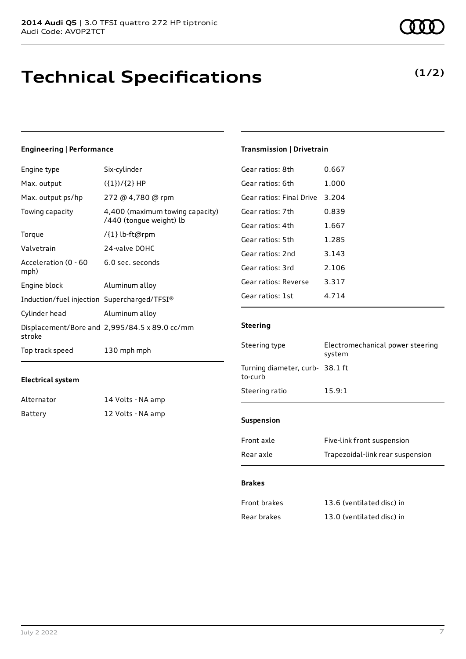### **Technical Specifications**

**Transmission | Drivetrain**

**Steering**

Gear ratios: 8th 0.667 Gear ratios: 6th 1.000 Gear ratios: Final Drive 3.204 Gear ratios: 7th 0.839 Gear ratios: 4th 1.667 Gear ratios: 5th 1.285 Gear ratios: 2nd 3.143 Gear ratios: 3rd 2.106 Gear ratios: Reverse 3.317 Gear ratios: 1st 4.714

#### **Engineering | Performance**

| Engine type                                 | Six-cylinder                                               |
|---------------------------------------------|------------------------------------------------------------|
| Max. output                                 | $({1})/{2}$ HP                                             |
| Max. output ps/hp                           | 272 @ 4,780 @ rpm                                          |
| Towing capacity                             | 4,400 (maximum towing capacity)<br>/440 (tongue weight) lb |
| Torque                                      | /{1} lb-ft@rpm                                             |
| Valvetrain                                  | 24-valve DOHC                                              |
| Acceleration (0 - 60<br>mph)                | 6.0 sec. seconds                                           |
| Engine block                                | Aluminum alloy                                             |
| Induction/fuel injection Supercharged/TFSI® |                                                            |
| Cylinder head                               | Aluminum alloy                                             |
| stroke                                      | Displacement/Bore and 2,995/84.5 x 89.0 cc/mm              |
| Top track speed                             | 130 mph mph                                                |

#### **Electrical system**

| Alternator | 14 Volts - NA amp |
|------------|-------------------|
| Battery    | 12 Volts - NA amp |

| July 2 2022 |  |  |  |
|-------------|--|--|--|
|             |  |  |  |

| Steering type                              | Electromechanical power steering<br>system |
|--------------------------------------------|--------------------------------------------|
| Turning diameter, curb- 38.1 ft<br>to-curb |                                            |
| Steering ratio                             | 15.9:1                                     |
| <b>Suspension</b>                          |                                            |

| Front axle          | Five-link front suspension       |  |
|---------------------|----------------------------------|--|
| Rear axle           | Trapezoidal-link rear suspension |  |
| <b>Brakes</b>       |                                  |  |
| <b>Front brakes</b> | 13.6 (ventilated disc) in        |  |

| Rear brakes | 13.0 (ventilated disc) in |
|-------------|---------------------------|
|             |                           |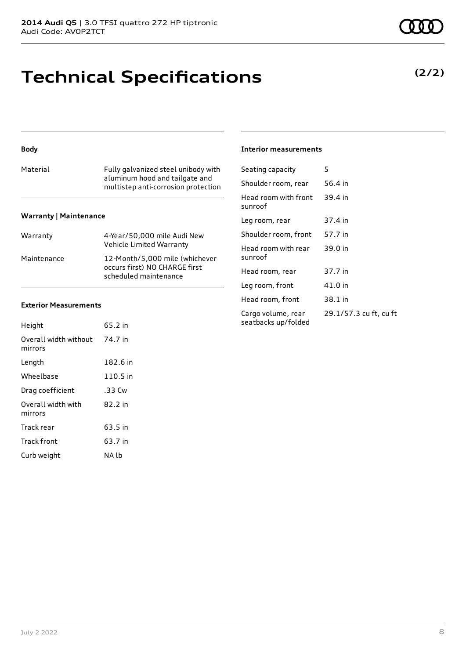### **Technical Specifications**

#### **Body**

| Material | Fully galvanized steel unibody with<br>aluminum hood and tailgate and<br>multistep anti-corrosion protection |
|----------|--------------------------------------------------------------------------------------------------------------|
|          |                                                                                                              |

#### **Warranty | Maintenance**

| Warranty    | 4-Year/50,000 mile Audi New<br>Vehicle Limited Warranty                                  |
|-------------|------------------------------------------------------------------------------------------|
| Maintenance | 12-Month/5,000 mile (whichever<br>occurs first) NO CHARGE first<br>scheduled maintenance |

#### **Exterior Measurements**

| Height                           | 65.2 in  |
|----------------------------------|----------|
| Overall width without<br>mirrors | 74.7 in  |
| Length                           | 182.6 in |
| Wheelbase                        | 110.5 in |
| Drag coefficient                 | .33 Cw   |
| Overall width with<br>mirrors    | 82.2 in  |
| Track rear                       | 63.5 in  |
| <b>Track front</b>               | 63.7 in  |
| Curb weight                      | NA Ib    |

#### **Interior measurements**

| Seating capacity                          | 5                      |
|-------------------------------------------|------------------------|
| Shoulder room, rear                       | 56.4 in                |
| Head room with front<br>sunroof           | 39.4 in                |
| Leg room, rear                            | 37.4 in                |
| Shoulder room, front                      | 57.7 in                |
| Head room with rear<br>sunroof            | 39.0 in                |
| Head room, rear                           | 37.7 in                |
| Leg room, front                           | 41.0 in                |
| Head room, front                          | 38.1 in                |
| Cargo volume, rear<br>seatbacks up/folded | 29.1/57.3 cu ft, cu ft |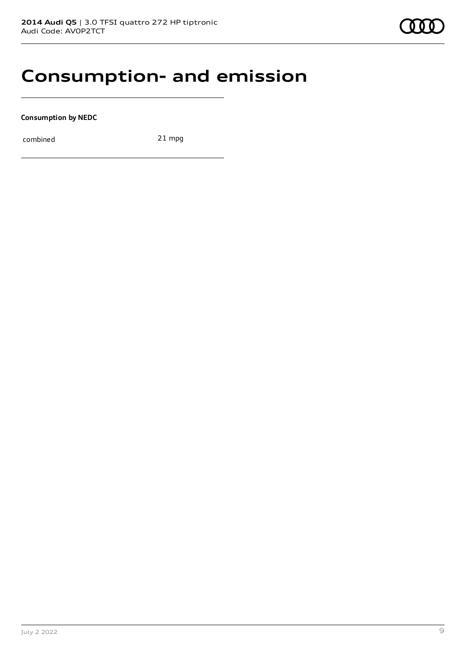### **Consumption- and emission**

**Consumption by NEDC**

combined 21 mpg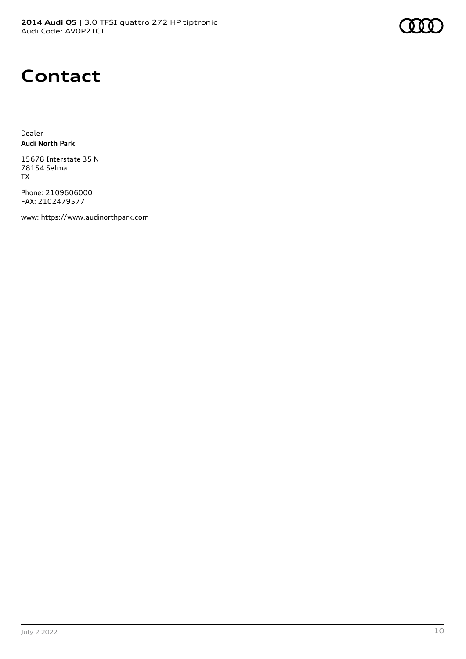

### **Contact**

Dealer **Audi North Park**

15678 Interstate 35 N 78154 Selma TX

Phone: 2109606000 FAX: 2102479577

www: [https://www.audinorthpark.com](https://www.audinorthpark.com/)